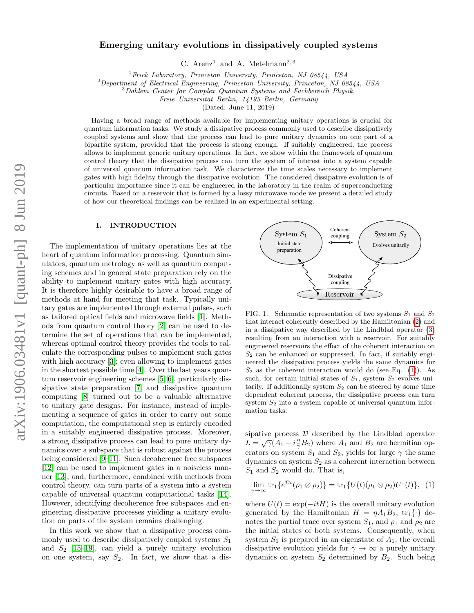# Emerging unitary evolutions in dissipatively coupled systems

C. Arenz<sup>1</sup> and A. Metelmann<sup>2, 3</sup>

 $1$  Frick Laboratory, Princeton University, Princeton, NJ 08544, USA

 $2$ Department of Electrical Engineering, Princeton University, Princeton, NJ 08544, USA

<sup>3</sup>Dahlem Center for Complex Quantum Systems and Fachbereich Physik,

Freie Universität Berlin, 14195 Berlin, Germany

(Dated: June 11, 2019)

Having a broad range of methods available for implementing unitary operations is crucial for quantum information tasks. We study a dissipative process commonly used to describe dissipatively coupled systems and show that the process can lead to pure unitary dynamics on one part of a bipartite system, provided that the process is strong enough. If suitably engineered, the process allows to implement generic unitary operations. In fact, we show within the framework of quantum control theory that the dissipative process can turn the system of interest into a system capable of universal quantum information task. We characterize the time scales necessary to implement gates with high fidelity through the dissipative evolution. The considered dissipative evolution is of particular importance since it can be engineered in the laboratory in the realm of superconducting circuits. Based on a reservoir that is formed by a lossy microwave mode we present a detailed study of how our theoretical findings can be realized in an experimental setting.

### I. INTRODUCTION

The implementation of unitary operations lies at the heart of quantum information processing. Quantum simulators, quantum metrology as well as quantum computing schemes and in general state preparation rely on the ability to implement unitary gates with high accuracy. It is therefore highly desirable to have a broad range of methods at hand for meeting that task. Typically unitary gates are implemented through external pulses, such as tailored optical fields and microwave fields [\[1\]](#page-7-0). Methods from quantum control theory [\[2\]](#page-7-1) can be used to determine the set of operations that can be implemented, whereas optimal control theory provides the tools to calculate the corresponding pulses to implement such gates with high accuracy [\[3\]](#page-7-2); even allowing to implement gates in the shortest possible time [\[4\]](#page-7-3). Over the last years quantum reservoir engineering schemes [\[5,](#page-7-4) [6\]](#page-7-5), particularly dissipative state preparation [\[7\]](#page-7-6) and dissipative quantum computing [\[8\]](#page-7-7) turned out to be a valuable alternative to unitary gate designs. For instance, instead of implementing a sequence of gates in order to carry out some computation, the computational step is entirely encoded in a suitably engineered dissipative process. Moreover, a strong dissipative process can lead to pure unitary dynamics over a subspace that is robust against the process being considered [\[9–](#page-7-8)[11\]](#page-7-9). Such decoherence free subspaces [\[12\]](#page-7-10) can be used to implement gates in a noiseless manner [\[13\]](#page-7-11), and, furthermore, combined with methods from control theory, can turn parts of a system into a system capable of universal quantum computational tasks [\[14\]](#page-7-12). However, identifying decoherence free subspaces and engineering dissipative processes yielding a unitary evolution on parts of the system remains challenging. systems and in gracnic system, and the proposition of the steed of the steed of the steed of the steed of the system in a system in fact, we show the system in the steed of the system in fact, we show the steed of premati

In this work we show that a dissipative process commonly used to describe dissipatively coupled systems  $S_1$ and  $S_2$  [\[15–](#page-7-13)[19\]](#page-7-14), can yield a purely unitary evolution<br>on one system, say  $S_2$ . In fact, we show that a dis-



<span id="page-0-1"></span>FIG. 1. Schematic representation of two systems  $S_1$  and  $S_2$ that interact coherently described by the Hamiltonian [\(2\)](#page-1-0) and in a dissipative way described by the Lindblad operator [\(3\)](#page-1-1) resulting from an interaction with a reservoir. For suitably engineered reservoirs the effect of the coherent interaction on  $S_2$  can be enhanced or suppressed. In fact, if suitably engineered the dissipative process yields the same dynamics for  $S_2$  as the coherent interaction would do (see Eq. [\(1\)](#page-0-0)). As such, for certain initial states of  $S_1$ , system  $S_2$  evolves unitarily. If additionally system  $S_2$  can be steered by some time dependent coherent process, the dissipative process can turn system  $S_2$  into a system capable of universal quantum information tasks.

sipative process  $D$  described by the Lindblad operator spative process *D* described by the Emdorad operator<br> $L = \sqrt{\gamma} (A_1 - i \frac{\eta}{\gamma} B_2)$  where  $A_1$  and  $B_2$  are hermitian operators on system  $S_1$  and  $S_2$ , yields for large  $\gamma$  the same dynamics on system  $S_2$  as a coherent interaction between  $S_1$  and  $S_2$  would do. That is,

<span id="page-0-0"></span>
$$
\lim_{\gamma \to \infty} \text{tr}_1\{e^{\mathcal{D}t}(\rho_1 \otimes \rho_2)\} = \text{tr}_1\{U(t)(\rho_1 \otimes \rho_2)U^{\dagger}(t)\}, \tag{1}
$$

where  $U(t) = \exp(-itH)$  is the overall unitary evolution generated by the Hamiltonian  $H = \eta A_1 B_2$ ,  $\text{tr}_1\{\cdot\}$  denotes the partial trace over system  $S_1$ , and  $\rho_1$  and  $\rho_2$  are the initial states of both systems. Consequently, when system  $S_1$  is prepared in an eigenstate of  $A_1$ , the overall dissipative evolution yields for  $\gamma \to \infty$  a purely unitary dynamics on system  $S_2$  determined by  $B_2$ . Such being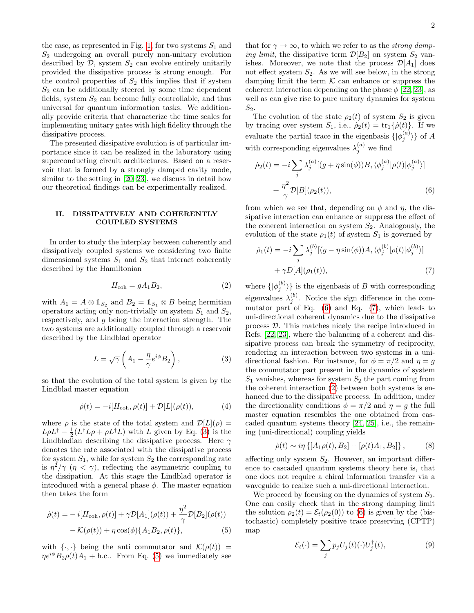the case, as represented in Fig. [1,](#page-0-1) for two systems  $S_1$  and  $S_2$  undergoing an overall purely non-unitary evolution described by  $D$ , system  $S_2$  can evolve entirely unitarily provided the dissipative process is strong enough. For the control properties of  $S_2$  this implies that if system  $S_2$  can be additionally steered by some time dependent fields, system  $S_2$  can become fully controllable, and thus universal for quantum information tasks. We additionally provide criteria that characterize the time scales for implementing unitary gates with high fidelity through the dissipative process.

The presented dissipative evolution is of particular importance since it can be realized in the laboratory using superconducting circuit architectures. Based on a reservoir that is formed by a strongly damped cavity mode, similar to the setting in [\[20–](#page-7-15)[23\]](#page-7-16), we discuss in detail how our theoretical findings can be experimentally realized.

# II. DISSIPATIVELY AND COHERENTLY COUPLED SYSTEMS

In order to study the interplay between coherently and dissipatively coupled systems we considering two finite dimensional systems  $S_1$  and  $S_2$  that interact coherently described by the Hamiltonian

$$
H_{\rm coh} = gA_1B_2,\t\t(2)
$$

with  $A_1 = A \otimes \mathbb{1}_{S_2}$  and  $B_2 = \mathbb{1}_{S_1} \otimes B$  being hermitian operators acting only non-trivially on system  $S_1$  and  $S_2$ , respectively, and g being the interaction strength. The two systems are additionally coupled through a reservoir described by the Lindblad operator

$$
L = \sqrt{\gamma} \left( A_1 - \frac{\eta}{\gamma} e^{i\phi} B_2 \right),\tag{3}
$$

so that the evolution of the total system is given by the Lindblad master equation

$$
\dot{\rho}(t) = -i[H_{\text{coh}}, \rho(t)] + \mathcal{D}[L](\rho(t)),\tag{4}
$$

where  $\rho$  is the state of the total system and  $\mathcal{D}[L](\rho) =$  $L\rho L^{\dagger} - \frac{1}{2}(L^{\dagger}L\rho + \rho L^{\dagger}L)$  with L given by Eq. [\(3\)](#page-1-1) is the Lindbladian describing the dissipative process. Here  $\gamma$ denotes the rate associated with the dissipative process for system  $S_1$ , while for system  $S_2$  the corresponding rate is  $\eta^2/\gamma$  ( $\eta < \gamma$ ), reflecting the asymmetric coupling to the dissipation. At this stage the Lindblad operator is introduced with a general phase  $\phi$ . The master equation then takes the form

$$
\dot{\rho}(t) = -i[H_{\text{coh}}, \rho(t)] + \gamma \mathcal{D}[A_1](\rho(t)) + \frac{\eta^2}{\gamma} \mathcal{D}[B_2](\rho(t)) - \mathcal{K}(\rho(t)) + \eta \cos(\phi) \{A_1 B_2, \rho(t)\}, \tag{5}
$$

with  $\{\cdot,\cdot\}$  being the anti commutator and  $\mathcal{K}(\rho(t)) =$  $\eta e^{i\phi}B_2\rho(t)A_1 + \text{h.c.}$  From Eq. [\(5\)](#page-1-2) we immediately see that for  $\gamma \to \infty$ , to which we refer to as the *strong damp*ing limit, the dissipative term  $\mathcal{D}[B_2]$  on system  $S_2$  vanishes. Moreover, we note that the process  $\mathcal{D}[A_1]$  does not effect system  $S_2$ . As we will see below, in the strong damping limit the term  $K$  can enhance or suppress the coherent interaction depending on the phase  $\phi$  [\[22,](#page-7-17) [23\]](#page-7-16), as well as can give rise to pure unitary dynamics for system  $S_2$ .

The evolution of the state  $\rho_2(t)$  of system  $S_2$  is given by tracing over system  $S_1$ , i.e.,  $\dot{\rho}_2(t) = \text{tr}_1\{\dot{\rho}(t)\}\$ . If we evaluate the partial trace in the eigenbasis  $\{|\phi_j^{(a)}\rangle\}$  of A with corresponding eigenvalues  $\lambda_j^{(a)}$  we find

<span id="page-1-3"></span>
$$
\dot{\rho}_2(t) = -i \sum_j \lambda_j^{(a)} [(g + \eta \sin(\phi))B, \langle \phi_j^{(a)} | \rho(t) | \phi_j^{(a)} \rangle]
$$

$$
+ \frac{\eta^2}{\gamma} \mathcal{D}[B](\rho_2(t)), \tag{6}
$$

from which we see that, depending on  $\phi$  and  $\eta$ , the dissipative interaction can enhance or suppress the effect of the coherent interaction on system  $S_2$ . Analogously, the evolution of the state  $\rho_1(t)$  of system  $S_1$  is governed by

<span id="page-1-4"></span>
$$
\dot{\rho}_1(t) = -i \sum_j \lambda_j^{(b)} [(g - \eta \sin(\phi))A, \langle \phi_j^{(b)} | \rho(t) | \phi_j^{(b)} \rangle] + \gamma D[A](\rho_1(t)),
$$
\n(7)

<span id="page-1-1"></span><span id="page-1-0"></span>where  $\{\ket{\phi_j^{(b)}}\}$  is the eigenbasis of B with corresponding eigenvalues  $\lambda_j^{(b)}$ . Notice the sign difference in the commutator part of Eq.  $(6)$  and Eq.  $(7)$ , which leads to uni-directional coherent dynamics due to the dissipative process D. This matches nicely the recipe introduced in Refs. [\[22,](#page-7-17) [23\]](#page-7-16), where the balancing of a coherent and dissipative process can break the symmetry of reciprocity, rendering an interaction between two systems in a unidirectional fashion. For instance, for  $\phi = \pi/2$  and  $\eta = g$ the commutator part present in the dynamics of system  $S_1$  vanishes, whereas for system  $S_2$  the part coming from the coherent interaction [\(2\)](#page-1-0) between both systems is enhanced due to the dissipative process. In addition, under the directionality conditions  $\phi = \pi/2$  and  $\eta = q$  the full master equation resembles the one obtained from cascaded quantum systems theory [\[24,](#page-7-18) [25\]](#page-7-19), i.e., the remaining (uni-directional) coupling yields

$$
\dot{\rho}(t) \sim i\eta \left\{ [A_1 \rho(t), B_2] + [\rho(t) A_1, B_2] \right\},\tag{8}
$$

affecting only system  $S_2$ . However, an important difference to cascaded quantum systems theory here is, that one does not require a chiral information transfer via a waveguide to realize such a uni-directional interaction.

<span id="page-1-2"></span>We proceed by focusing on the dynamics of system  $S_2$ . One can easily check that in the strong damping limit the solution  $\rho_2(t) = \mathcal{E}_t(\rho_2(0))$  to [\(6\)](#page-1-3) is given by the (bistochastic) completely positive trace preserving (CPTP) map

<span id="page-1-5"></span>
$$
\mathcal{E}_t(\cdot) = \sum_j p_j U_j(t)(\cdot) U_j^{\dagger}(t),\tag{9}
$$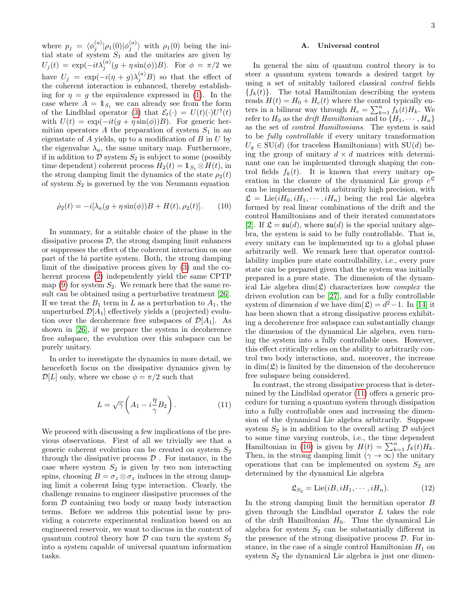where  $p_j = \langle \phi_j^{(a)} | \rho_1(0) | \phi_j^{(a)} \rangle$  with  $\rho_1(0)$  being the initial state of system  $S_1$  and the unitaries are given by  $U_j(t) = \exp(-it\lambda_j^{(a)}(g + \eta \sin(\phi))B)$ . For  $\phi = \pi/2$  we have  $U_j = \exp(-i(\eta + g)\lambda_j^{(a)}B)$  so that the effect of the coherent interaction is enhanced, thereby establishing for  $\eta = g$  the equivalence expressed in [\(1\)](#page-0-0). In the case where  $A = \mathbb{1}_{S_1}$  we can already see from the form of the Lindblad operator [\(3\)](#page-1-1) that  $\mathcal{E}_t(\cdot) = U(t)(\cdot)U^{\dagger}(t)$ with  $U(t) = \exp(-it(g + \eta \sin(\phi))B)$ . For generic hermitian operators A the preparation of system  $S_1$  in an eigenstate of  $A$  yields, up to a modification of  $B$  in  $U$  by the eigenvalue  $\lambda_a$ , the same unitary map. Furthermore, if in addition to  $\mathcal D$  system  $S_2$  is subject to some (possibly time dependent) coherent process  $H_2(t) = \mathbb{1}_{S_1} \otimes H(t)$ , in the strong damping limit the dynamics of the state  $\rho_2(t)$ of system  $S_2$  is governed by the von Neumann equation

$$
\dot{\rho}_2(t) = -i[\lambda_a(g + \eta \sin(\phi))B + H(t), \rho_2(t)].
$$
 (10)

In summary, for a suitable choice of the phase in the dissipative process  $\mathcal{D}$ , the strong damping limit enhances or suppresses the effect of the coherent interaction on one part of the bi partite system. Both, the strong damping limit of the dissipative process given by [\(3\)](#page-1-1) and the coherent process [\(2\)](#page-1-0) independently yield the same CPTP map  $(9)$  for system  $S_2$ . We remark here that the same result can be obtained using a perturbative treatment [\[26\]](#page-7-20). If we treat the  $B_1$  term in L as a perturbation to  $A_1$ , the unperturbed  $\mathcal{D}[A_1]$  effectively yields a (projected) evolution over the decoherence free subspaces of  $\mathcal{D}[A_1]$ . As shown in [\[26\]](#page-7-20), if we prepare the system in decoherence free subspace, the evolution over this subspace can be purely unitary.

In order to investigate the dynamics in more detail, we henceforth focus on the dissipative dynamics given by  $\mathcal{D}[L]$  only, where we chose  $\phi = \pi/2$  such that

$$
L = \sqrt{\gamma} \left( A_1 - i \frac{\eta}{\gamma} B_2 \right). \tag{11}
$$

We proceed with discussing a few implications of the previous observations. First of all we trivially see that a generic coherent evolution can be created on system  $S_2$ through the dissipative process  $D$ . For instance, in the case where system  $S_2$  is given by two non interacting spins, choosing  $B = \sigma_z \otimes \sigma_z$  induces in the strong damping limit a coherent Ising type interaction. Clearly, the challenge remains to engineer dissipative processes of the form  $D$  containing two body or many body interaction terms. Before we address this potential issue by providing a concrete experimental realization based on an engineered reservoir, we want to discuss in the context of quantum control theory how  $\mathcal D$  can turn the system  $S_2$ into a system capable of universal quantum information tasks.

### A. Universal control

<span id="page-2-1"></span>In general the aim of quantum control theory is to steer a quantum system towards a desired target by using a set of suitably tailored classical control fields  ${f_k(t)}$ . The total Hamiltonian describing the system reads  $H(t) = H_0 + H_c(t)$  where the control typically enters in a bilinear way through  $H_c = \sum_{k=1}^n \tilde{f}_k(t) H_k$ . We refer to  $H_0$  as the *drift Hamiltonian* and to  $\{H_1, \dots, H_n\}$ as the set of control Hamiltonians. The system is said to be fully controllable if every unitary transformation  $U_q \in SU(d)$  (for traceless Hamiltonians) with  $SU(d)$  being the group of unitary  $d \times d$  matrices with determinant one can be implemented through shaping the control fields  $f_k(t)$ . It is known that every unitary operation in the closure of the dynamical Lie group  $e^{\mathfrak{L}}$ can be implemented with arbitrarily high precision, with  $\mathfrak{L} = \text{Lie}(iH_0, iH_1, \cdots, iH_n)$  being the real Lie algebra formed by real linear combinations of the drift and the control Hamiltonians and of their iterated commutators [\[2\]](#page-7-1). If  $\mathfrak{L} = \mathfrak{su}(d)$ , where  $\mathfrak{su}(d)$  is the special unitary algebra, the system is said to be fully controllable. That is, every unitary can be implemented up to a global phase arbitrarily well. We remark here that operator controllability implies pure state controllability, i.e., every pure state can be prepared given that the system was initially prepared in a pure state. The dimension of the dynamical Lie algebra  $\dim(\mathfrak{L})$  characterizes how *complex* the driven evolution can be [\[27\]](#page-7-21), and for a fully controllable system of dimension d we have  $\dim(\mathfrak{L}) = d^2 - 1$ . In [\[14\]](#page-7-12) it has been shown that a strong dissipative process exhibiting a decoherence free subspace can substantially change the dimension of the dynamical Lie algebra, even turning the system into a fully controllable ones. However, this effect critically relies on the ability to arbitrarily control two body interactions, and, moreover, the increase in  $\dim(\mathfrak{L})$  is limited by the dimension of the decoherence free subspace being considered.

<span id="page-2-0"></span>In contrast, the strong dissipative process that is determined by the Lindblad operator [\(11\)](#page-2-0) offers a generic procedure for turning a quantum system through dissipation into a fully controllable ones and increasing the dimension of the dynamical Lie algebra arbitrarily. Suppose system  $S_2$  is in addition to the overall acting  $\mathcal D$  subject to some time varying controls, i.e., the time dependent Hamiltonian in [\(10\)](#page-2-1) is given by  $H(t) = \sum_{k=1}^{n} f_k(t) H_k$ . Then, in the strong damping limit  $(\gamma \to \infty)$  the unitary operations that can be implemented on system  $S_2$  are determined by the dynamical Lie algebra

$$
\mathfrak{L}_{S_2} = \text{Lie}(iB, iH_1, \cdots, iH_n). \tag{12}
$$

In the strong damping limit the hermitian operator B given through the Lindblad operator  $L$  takes the role of the drift Hamiltonian  $H_0$ . Thus the dynamical Lie algebra for system  $S_2$  can be substantially different in the presence of the strong dissipative process  $\mathcal{D}$ . For instance, in the case of a single control Hamiltonian  $H_1$  on system  $S_2$  the dynamical Lie algebra is just one dimen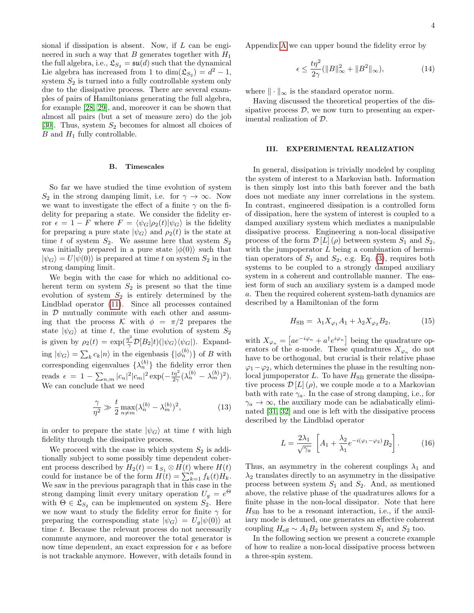sional if dissipation is absent. Now, if  $L$  can be engineered in such a way that B generates together with  $H_1$ the full algebra, i.e.,  $\mathfrak{L}_{S_2} = \mathfrak{su}(d)$  such that the dynamical Lie algebra has increased from 1 to  $\dim(\mathfrak{L}_{S_2}) = d^2 - 1$ , system  $S_2$  is turned into a fully controllable system only due to the dissipative process. There are several examples of pairs of Hamiltonians generating the full algebra, for example [\[28,](#page-7-22) [29\]](#page-7-23), and, moreover it can be shown that almost all pairs (but a set of measure zero) do the job [\[30\]](#page-7-24). Thus, system  $S_2$  becomes for almost all choices of  $B$  and  $H_1$  fully controllable.

#### B. Timescales

So far we have studied the time evolution of system  $S_2$  in the strong damping limit, i.e. for  $\gamma \to \infty$ . Now we want to investigate the effect of a finite  $\gamma$  on the fidelity for preparing a state. We consider the fidelity error  $\epsilon = 1 - F$  where  $F = \langle \psi_G | \rho_2(t) | \psi_G \rangle$  is the fidelity for preparing a pure state  $|\psi_G\rangle$  and  $\rho_2(t)$  is the state at time t of system  $S_2$ . We assume here that system  $S_2$ was initially prepared in a pure state  $|\phi(0)\rangle$  such that  $|\psi_G\rangle = U|\psi(0)\rangle$  is prepared at time t on system  $S_2$  in the strong damping limit.

We begin with the case for which no additional coherent term on system  $S_2$  is present so that the time evolution of system  $S_2$  is entirely determined by the Lindblad operator [\(11\)](#page-2-0). Since all processes contained in  $D$  mutually commute with each other and assuming that the process K with  $\phi = \pi/2$  prepares the state  $|\psi_G\rangle$  at time t, the time evolution of system  $S_2$ is given by  $\rho_2(t) = \exp(\frac{\eta^2}{\gamma})$  $\frac{\partial \mathcal{L}}{\gamma} \mathcal{D}[B_2]t)(|\psi_G\rangle\langle\psi_G|)$ . Expanding  $|\psi_G\rangle = \sum_k c_k |n\rangle$  in the eigenbasis  $\{|\phi_n^{(b)}\rangle\}$  of B with corresponding eigenvalues  $\{\lambda_n^{(b)}\}$  the fidelity error then reads  $\epsilon = 1 - \sum_{n,m} |c_n|^2 |c_m|^2 \exp(-\frac{t\eta^2}{2\gamma} (\lambda_n^{(b)} - \lambda_m^{(b)})^2).$ We can conclude that we need

$$
\frac{\gamma}{\eta^2} \gg \frac{t}{2} \max_{n \neq m} (\lambda_n^{(b)} - \lambda_m^{(b)})^2,
$$
\n(13)

in order to prepare the state  $|\psi_G\rangle$  at time t with high fidelity through the dissipative process.

We proceed with the case in which system  $S_2$  is additionally subject to some possibly time dependent coherent process described by  $H_2(t) = 1 \, S_1 \otimes H(t)$  where  $H(t)$ could for instance be of the form  $\tilde{H}(t) = \sum_{k=1}^{n} f_k(t) \tilde{H_k}$ . We saw in the previous paragraph that in this case in the strong damping limit every unitary operation  $U_g = e^{\Theta}$ with  $\Theta \in \mathfrak{L}_{S_2}$  can be implemented on system  $S_2$ . Here we now want to study the fidelity error for finite  $\gamma$  for preparing the corresponding state  $|\psi_G\rangle = U_g |\psi(0)\rangle$  at time t. Because the relevant process do not necessarily commute anymore, and moreover the total generator is now time dependent, an exact expression for  $\epsilon$  as before is not trackable anymore. However, with details found in

Appendix [A](#page-7-25) we can upper bound the fidelity error by

<span id="page-3-0"></span>
$$
\epsilon \le \frac{t\eta^2}{2\gamma} (\|B\|_{\infty}^2 + \|B^2\|_{\infty}),\tag{14}
$$

where  $\|\cdot\|_{\infty}$  is the standard operator norm.

Having discussed the theoretical properties of the dissipative process  $\mathcal{D}$ , we now turn to presenting an experimental realization of D.

# III. EXPERIMENTAL REALIZATION

In general, dissipation is trivially modeled by coupling the system of interest to a Markovian bath. Information is then simply lost into this bath forever and the bath does not mediate any inner correlations in the system. In contrast, engineered dissipation is a controlled form of dissipation, here the system of interest is coupled to a damped auxiliary system which mediates a manipulable dissipative process. Engineering a non-local dissipative process of the form  $\mathcal{D}[L](\rho)$  between system  $S_1$  and  $S_2$ , with the jumpoperator  $L$  being a combination of hermitian operators of  $S_1$  and  $S_2$ , e.g. Eq. [\(3\)](#page-1-1), requires both systems to be coupled to a strongly damped auxiliary system in a coherent and controllable manner. The easiest form of such an auxiliary system is a damped mode a. Then the required coherent system-bath dynamics are described by a Hamiltonian of the form

$$
H_{\rm SB} = \lambda_1 X_{\varphi_1} A_1 + \lambda_2 X_{\varphi_2} B_2, \tag{15}
$$

with  $X_{\varphi_n} = \left[ a e^{-i\varphi_n} + a^{\dagger} e^{i\varphi_n} \right]$  being the quadrature operators of the a-mode. These quadratures  $X_{\varphi_n}$  do not have to be orthogonal, but crucial is their relative phase  $\varphi_1-\varphi_2$ , which determines the phase in the resulting nonlocal jumpoperator  $L$ . To have  $H_{\text{SB}}$  generate the dissipative process  $\mathcal{D}[L](\rho)$ , we couple mode a to a Markovian bath with rate  $\gamma_a$ . In the case of strong damping, i.e., for  $\gamma_a \to \infty$ , the auxiliary mode can be adiabatically eliminated [\[31,](#page-7-26) [32\]](#page-7-27) and one is left with the dissipative process described by the Lindblad operator

$$
L = \frac{2\lambda_1}{\sqrt{\gamma_a}} \left[ A_1 + \frac{\lambda_2}{\lambda_1} e^{-i(\varphi_1 - \varphi_2)} B_2 \right].
$$
 (16)

Thus, an asymmetry in the coherent couplings  $\lambda_1$  and  $\lambda_2$  translates directly to an asymmetry in the dissipative process between system  $S_1$  and  $S_2$ . And, as mentioned above, the relative phase of the quadratures allows for a finite phase in the non-local dissipator. Note that here  $H_{\rm SB}$  has to be a resonant interaction, i.e., if the auxiliary mode is detuned, one generates an effective coherent coupling  $H_{\text{eff}} \sim A_1 B_2$  between system  $S_1$  and  $S_2$  too.

In the following section we present a concrete example of how to realize a non-local dissipative process between a three-spin system.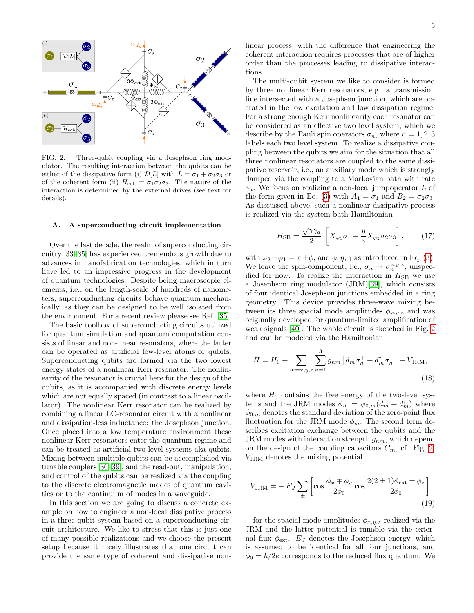

<span id="page-4-0"></span>FIG. 2. Three-qubit coupling via a Josephson ring modulator. The resulting interaction between the qubits can be either of the dissipative form (i)  $\mathcal{D}[L]$  with  $L = \sigma_1 + \sigma_2 \sigma_3$  or of the coherent form (ii)  $H_{\text{coh}} = \sigma_1 \sigma_2 \sigma_3$ . The nature of the interaction is determined by the external drives (see text for details).

# A. A superconducting circuit implementation

Over the last decade, the realm of superconducting circuitry [\[33](#page-7-28)[–35\]](#page-7-29) has experienced tremendous growth due to advances in nanofabrication technologies, which in turn have led to an impressive progress in the development of quantum technologies. Despite being macroscopic elements, i.e., on the length-scale of hundreds of nanometers, superconducting circuits behave quantum mechanically, as they can be designed to be well isolated from the environment. For a recent review please see Ref. [\[35\]](#page-7-29).

The basic toolbox of superconducting circuits utilized for quantum simulation and quantum computation consists of linear and non-linear resonators, where the latter can be operated as artificial few-level atoms or qubits. Superconducting qubits are formed via the two lowest energy states of a nonlinear Kerr resonator. The nonlinearity of the resonator is crucial here for the design of the qubits, as it is accompanied with discrete energy levels which are not equally spaced (in contrast to a linear oscillator). The nonlinear Kerr resonator can be realized by combining a linear LC-resonator circuit with a nonlinear and dissipation-less inductance: the Josephson junction. Once placed into a low temperature environment these nonlinear Kerr resonators enter the quantum regime and can be treated as artificial two-level systems aka qubits. Mixing between multiple qubits can be accomplished via tunable couplers [\[36](#page-7-30)[–39\]](#page-7-31), and the read-out, manipulation, and control of the qubits can be realized via the coupling to the discrete electromagnetic modes of quantum cavities or to the continuum of modes in a waveguide.

In this section we are going to discuss a concrete example on how to engineer a non-local dissipative process in a three-qubit system based on a superconducting circuit architecture. We like to stress that this is just one of many possible realizations and we choose the present setup because it nicely illustrates that one circuit can provide the same type of coherent and dissipative nonlinear process, with the difference that engineering the coherent interaction requires processes that are of higher order than the processes leading to dissipative interactions.

The multi-qubit system we like to consider is formed by three nonlinear Kerr resonators, e.g., a transmission line intersected with a Josephson junction, which are operated in the low excitation and low dissipation regime. For a strong enough Kerr nonlinearity each resonator can be considered as an effective two level system, which we describe by the Pauli spin operators  $\sigma_n$ , where  $n = 1, 2, 3$ labels each two level system. To realize a dissipative coupling between the qubits we aim for the situation that all three nonlinear resonators are coupled to the same dissipative reservoir, i.e., an auxiliary mode which is strongly damped via the coupling to a Markovian bath with rate  $\gamma_a$ . We focus on realizing a non-local jumpoperator L of the form given in Eq. [\(3\)](#page-1-1) with  $A_1 = \sigma_1$  and  $B_2 = \sigma_2 \sigma_3$ . As discussed above, such a nonlinear dissipative process is realized via the system-bath Hamiltonian

<span id="page-4-1"></span>
$$
H_{\rm SB} = \frac{\sqrt{\gamma \gamma_a}}{2} \left[ X_{\varphi_1} \sigma_1 + \frac{\eta}{\gamma} X_{\varphi_2} \sigma_2 \sigma_3 \right],\tag{17}
$$

with  $\varphi_2-\varphi_1=\pi+\phi$ , and  $\phi, \eta, \gamma$  as introduced in Eq. [\(3\)](#page-1-1). We leave the spin-component, i.e.,  $\sigma_n \to \sigma_n^{x,y,z}$ , unspecified for now. To realize the interaction in  $H_{\rm SB}$  we use a Josephson ring modulator (JRM)[\[39\]](#page-7-31), which consists of four identical Josephson junctions embedded in a ring geometry. This device provides three-wave mixing between its three spacial mode amplitudes  $\phi_{x,y,z}$  and was originally developed for quantum-limited amplification of weak signals [\[40\]](#page-7-32). The whole circuit is sketched in Fig. [2](#page-4-0) and can be modeled via the Hamiltonian

$$
H = H_0 + \sum_{m=x,y,z} \sum_{n=1}^{3} g_{nm} \left[ d_m \sigma_n^+ + d_m^{\dagger} \sigma_n^- \right] + V_{\text{JRM}},
$$
\n(18)

where  $H_0$  contains the free energy of the two-level systems and the JRM modes  $\phi_m = \phi_{0,m}(d_m + d_m^{\dagger})$  where  $\phi_{0,m}$  denotes the standard deviation of the zero-point flux fluctuation for the JRM mode  $\phi_m$ . The second term describes excitation exchange between the qubits and the JRM modes with interaction strength  $g_{nm}$ , which depend on the design of the coupling capacitors  $C_m$ , cf. Fig. [2.](#page-4-0) VJRM denotes the mixing potential

$$
V_{\text{JRM}} = -E_J \sum_{\pm} \left[ \cos \frac{\phi_x + \phi_y}{2\phi_0} \cos \frac{2(2 \pm 1)\phi_{\text{ext}} \pm \phi_z}{2\phi_0} \right]
$$
(19)

for the spacial mode amplitudes  $\phi_{x,y,z}$  realized via the JRM and the latter potential is tunable via the external flux  $\phi_{\text{ext}}$ .  $E_J$  denotes the Josephson energy, which is assumed to be identical for all four junctions, and  $\phi_0 = \hbar/2e$  corresponds to the reduced flux quantum. We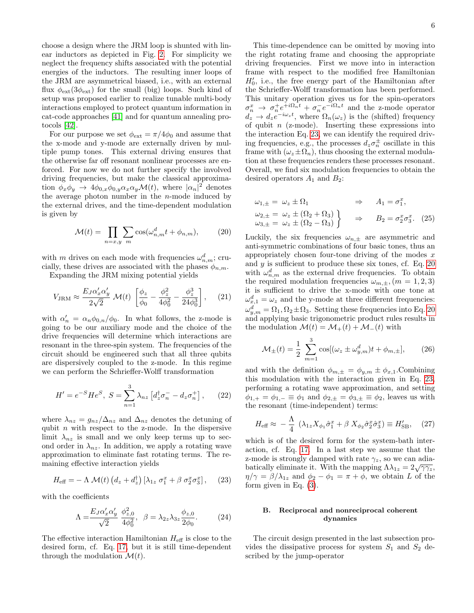choose a design where the JRM loop is shunted with linear inductors as depicted in Fig. [2.](#page-4-0) For simplicity we neglect the frequency shifts associated with the potential energies of the inductors. The resulting inner loops of the JRM are asymmetrical biased, i.e., with an external flux  $\phi_{\rm ext}(3\phi_{\rm ext})$  for the small (big) loops. Such kind of setup was proposed earlier to realize tunable multi-body interactions employed to protect quantum information in cat-code approaches [\[41\]](#page-7-33) and for quantum annealing protocols [\[42\]](#page-7-34).

For our purpose we set  $\phi_{ext} = \pi/4\phi_0$  and assume that the x-mode and y-mode are externally driven by multiple pump tones. This external driving ensures that the otherwise far off resonant nonlinear processes are enforced. For now we do not further specify the involved driving frequencies, but make the classical approximation  $\phi_x \phi_y \to 4 \phi_{0,x} \phi_{0,y} \alpha_x \alpha_y \mathcal{M}(t)$ , where  $|\alpha_n|^2$  denotes the average photon number in the  $n$ -mode induced by the external drives, and the time-dependent modulation is given by

$$
\mathcal{M}(t) = \prod_{n=x,y} \sum_{m} \cos(\omega_{n,m}^d t + \phi_{n,m}), \tag{20}
$$

with m drives on each mode with frequencies  $\omega_{n,m}^d$ ; crucially, these drives are associated with the phases  $\phi_{n,m}$ .

Expanding the JRM mixing potential yields

$$
V_{\text{JRM}} \approx \frac{E_J \alpha_x' \alpha_y'}{2\sqrt{2}} \mathcal{M}(t) \left[ \frac{\phi_z}{\phi_0} - \frac{\phi_z^2}{4\phi_0^2} - \frac{\phi_z^3}{24\phi_0^3} \right], \quad (21)
$$

with  $\alpha'_n = \alpha_n \phi_{0,n} / \phi_0$ . In what follows, the z-mode is going to be our auxiliary mode and the choice of the drive frequencies will determine which interactions are resonant in the three-spin system. The frequencies of the circuit should be engineered such that all three qubits are dispersively coupled to the z-mode. In this regime we can perform the Schrieffer-Wolff transformation

$$
H' = e^{-S} H e^{S}, \ S = \sum_{n=1}^{3} \lambda_{nz} \left[ d_{z}^{\dagger} \sigma_{n}^{-} - d_{z} \sigma_{n}^{+} \right], \qquad (22)
$$

where  $\lambda_{nz} = g_{nz}/\Delta_{nz}$  and  $\Delta_{nz}$  denotes the detuning of qubit  $n$  with respect to the z-mode. In the dispersive limit  $\lambda_{nz}$  is small and we only keep terms up to second order in  $\lambda_{nz}$ . In addition, we apply a rotating wave approximation to eliminate fast rotating terms. The remaining effective interaction yields

$$
H_{\text{eff}} = -\Lambda \mathcal{M}(t) \left( d_z + d_z^{\dagger} \right) \left[ \lambda_{1z} \sigma_1^x + \beta \sigma_2^x \sigma_3^x \right], \quad (23)
$$

with the coefficients

$$
\Lambda = \frac{E_J \alpha'_x \alpha'_y}{\sqrt{2}} \frac{\phi_{z,0}^2}{4\phi_0^2}, \quad \beta = \lambda_{2z} \lambda_{3z} \frac{\phi_{z,0}}{2\phi_0}.
$$
 (24)

The effective interaction Hamiltonian  $H_{\text{eff}}$  is close to the desired form, cf. Eq. [17,](#page-4-1) but it is still time-dependent through the modulation  $\mathcal{M}(t)$ .

This time-dependence can be omitted by moving into the right rotating frame and choosing the appropriate driving frequencies. First we move into in interaction frame with respect to the modified free Hamiltonian  $H'_0$ , i.e., the free energy part of the Hamiltonian after the Schrieffer-Wolff transformation has been performed. This unitary operation gives us for the spin-operators  $\sigma_n^x \to \sigma_n^+ e^{+i\Omega_n t} + \sigma_n^- e^{-i\Omega_n t}$  and the z-mode operator  $d_z \to d_z e^{-i\omega_z t}$ , where  $\Omega_n(\omega_z)$  is the (shifted) frequency of qubit  $n$  (z-mode). Inserting these expressions into the interaction Eq. [23,](#page-5-0) we can identify the required driving frequencies, e.g., the processes  $d_z \sigma_n^{\pm}$  oscillate in this frame with  $(\omega_z \pm \Omega_n)$ , thus choosing the external modulation at these frequencies renders these processes resonant. Overall, we find six modulation frequencies to obtain the desired operators  $A_1$  and  $B_2$ :

<span id="page-5-4"></span>
$$
\omega_{1,\pm} = \omega_z \pm \Omega_1 \qquad \Rightarrow \qquad A_1 = \sigma_1^x,
$$
  
\n
$$
\omega_{2,\pm} = \omega_z \pm (\Omega_2 + \Omega_3) \}
$$
  
\n
$$
\omega_{3,\pm} = \omega_z \pm (\Omega_2 - \Omega_3)
$$
  
\n
$$
\Rightarrow \qquad B_2 = \sigma_2^x \sigma_3^x. \tag{25}
$$

<span id="page-5-3"></span><span id="page-5-1"></span>Luckily, the six frequencies  $\omega_{n,\pm}$  are asymmetric and anti-symmetric combinations of four basic tones, thus an appropriately chosen four-tone driving of the modes  $x$ and  $y$  is sufficient to produce these six tones, cf. Eq. [20](#page-5-1) with  $\omega_{n,m}^d$  as the external drive frequencies. To obtain the required modulation frequencies  $\omega_{m,\pm}$ ,  $(m = 1, 2, 3)$ it is sufficient to drive the x-mode with one tone at  $\omega_{x,1}^d = \omega_z$  and the y-mode at three different frequencies:  $\omega_{y,m}^d = \Omega_1, \Omega_2 \pm \Omega_3$ . Setting these frequencies into Eq. [20](#page-5-1) and applying basic trigonometric product rules results in the modulation  $\mathcal{M}(t) = \mathcal{M}_+(t) + \mathcal{M}_-(t)$  with

$$
\mathcal{M}_{\pm}(t) = \frac{1}{2} \sum_{m=1}^{3} \cos[(\omega_z \pm \omega_{y,m}^d)t + \phi_{m,\pm}],
$$
 (26)

and with the definition  $\phi_{m,\pm} = \phi_{y,m} \pm \phi_{x,1}$ . Combining this modulation with the interaction given in Eq. [23,](#page-5-0) performing a rotating wave approximation, and setting  $\phi_{1,+} = \phi_{1,-} \equiv \phi_1$  and  $\phi_{2,\pm} = \phi_{3,\pm} \equiv \phi_2$ , leaves us with the resonant (time-independent) terms:

<span id="page-5-2"></span>
$$
H_{\text{eff}} \approx -\frac{\Lambda}{4} \left( \lambda_{1z} X_{\phi_1} \hat{\sigma}_1^x + \beta X_{\phi_2} \hat{\sigma}_2^x \hat{\sigma}_3^x \right) \equiv H'_{\text{SB}}, \quad (27)
$$

<span id="page-5-0"></span>which is of the desired form for the system-bath interaction, cf. Eq. [17.](#page-4-1) In a last step we assume that the z-mode is strongly damped with rate  $\gamma_z$ , so we can adiabatically eliminate it. With the mapping  $\Lambda \lambda_{1z} = 2\sqrt{\gamma \gamma_z}$ ,  $\eta/\gamma = \beta/\lambda_{1z}$  and  $\phi_2 - \phi_1 = \pi + \phi$ , we obtain L of the form given in Eq. [\(3\)](#page-1-1).

### B. Reciprocal and nonreciprocal coherent dynamics

The circuit design presented in the last subsection provides the dissipative process for system  $S_1$  and  $S_2$  described by the jump-operator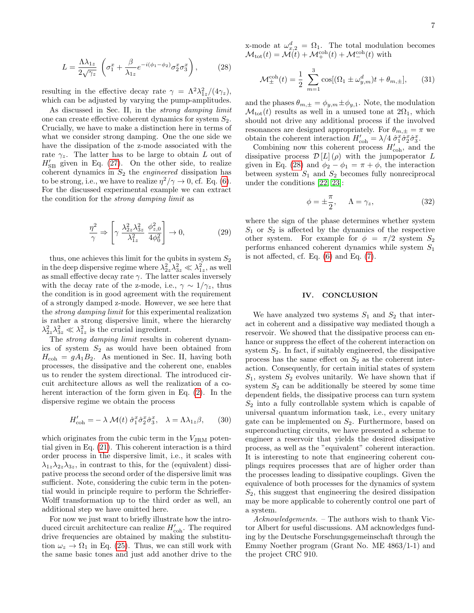$$
L = \frac{\Lambda \lambda_{1z}}{2\sqrt{\gamma_z}} \left( \sigma_1^x + \frac{\beta}{\lambda_{1z}} e^{-i(\phi_1 - \phi_2)} \sigma_2^x \sigma_3^x \right), \tag{28}
$$

resulting in the effective decay rate  $\gamma = \Lambda^2 \lambda_{1z}^2 / (4\gamma_z)$ , which can be adjusted by varying the pump-amplitudes.

As discussed in Sec. II, in the strong damping limit one can create effective coherent dynamics for system  $S_2$ . Crucially, we have to make a distinction here in terms of what we consider strong damping. One the one side we have the dissipation of the z-mode associated with the rate  $\gamma_z$ . The latter has to be large to obtain L out of  $H'_{\text{SB}}$  given in Eq. [\(27\)](#page-5-2). On the other side, to realize coherent dynamics in  $S_2$  the *engineered* dissipation has to be strong, i.e., we have to realize  $\eta^2/\gamma \to 0$ , cf. Eq. [\(6\)](#page-1-3). For the discussed experimental example we can extract the condition for the strong damping limit as

$$
\frac{\eta^2}{\gamma} \Rightarrow \left[ \gamma \frac{\lambda_{2z}^2 \lambda_{3z}^2}{\lambda_{1z}^2} \frac{\phi_{z,0}^2}{4\phi_0^2} \right] \to 0, \tag{29}
$$

thus, one achieves this limit for the qubits in system  $S_2$ in the deep dispersive regime where  $\lambda_{2z}^2 \lambda_{3z}^2 \ll \lambda_{1z}^2$ , as well as small effective decay rate  $\gamma$ . The latter scales inversely with the decay rate of the z-mode, i.e.,  $\gamma \sim 1/\gamma_z$ , thus the condition is in good agreement with the requirement of a strongly damped z-mode. However, we see here that the strong damping limit for this experimental realization is rather a strong dispersive limit, where the hierarchy  $\lambda_{2z}^2 \lambda_{3z}^2 \ll \lambda_{1z}^2$  is the crucial ingredient.

The strong damping limit results in coherent dynamics of system  $S_2$  as would have been obtained from  $H_{\text{coh}} = gA_1B_2$ . As mentioned in Sec. II, having both processes, the dissipative and the coherent one, enables us to render the system directional. The introduced circuit architecture allows as well the realization of a coherent interaction of the form given in Eq. [\(2\)](#page-1-0). In the dispersive regime we obtain the process

$$
H'_{\text{coh}} = -\lambda \mathcal{M}(t) \hat{\sigma}_1^x \hat{\sigma}_2^x \hat{\sigma}_3^x, \quad \lambda = \Lambda \lambda_{1z} \beta, \qquad (30)
$$

which originates from the cubic term in the  $V_{\text{JRM}}$  potential given in Eq. [\(21\)](#page-5-3). This coherent interaction is a third order process in the dispersive limit, i.e., it scales with  $\lambda_{1z}\lambda_{2z}\lambda_{3z}$ , in contrast to this, for the (equivalent) dissipative process the second order of the dispersive limit was sufficient. Note, considering the cubic term in the potential would in principle require to perform the Schrieffer-Wolff transformation up to the third order as well, an additional step we have omitted here.

For now we just want to briefly illustrate how the introduced circuit architecture can realize  $H'_{\text{coh}}$ . The required drive frequencies are obtained by making the substitution  $\omega_z \rightarrow \Omega_1$  in Eq. [\(25\)](#page-5-4). Thus, we can still work with the same basic tones and just add another drive to the <span id="page-6-0"></span>x-mode at  $\omega_{x,2}^d = \Omega_1$ . The total modulation becomes  $\mathcal{M}_{\text{tot}}(t) = \mathcal{M}(t) + \mathcal{M}_{+}^{\text{coh}}(t) + \mathcal{M}_{-}^{\text{coh}}(t)$  with

$$
\mathcal{M}_{\pm}^{\text{coh}}(t) = \frac{1}{2} \sum_{m=1}^{3} \cos[(\Omega_1 \pm \omega_{y,m}^d)t + \theta_{m,\pm}], \quad (31)
$$

and the phases  $\theta_{m,\pm} = \phi_{y,m} \pm \phi_{y,1}$ . Note, the modulation  $\mathcal{M}_{\text{tot}}(t)$  results as well in a unused tone at  $2\Omega_1$ , which should not drive any additional process if the involved resonances are designed appropriately. For  $\theta_{m,\pm} = \pi$  we obtain the coherent interaction  $H'_{\text{coh}} = \lambda/4 \hat{\sigma}_1^x \hat{\sigma}_2^x \hat{\sigma}_3^x$ .

Combining now this coherent process  $H'_{\text{coh}}$ , and the dissipative process  $\mathcal{D}[L](\rho)$  with the jumpoperator L given in Eq. [\(28\)](#page-6-0) and  $\phi_2 - \phi_1 = \pi + \phi$ , the interaction between system  $S_1$  and  $S_2$  becomes fully nonreciprocal under the conditions [\[22,](#page-7-17) [23\]](#page-7-16):

$$
\phi = \pm \frac{\pi}{2}, \qquad \Lambda = \gamma_z, \tag{32}
$$

where the sign of the phase determines whether system  $S_1$  or  $S_2$  is affected by the dynamics of the respective other system. For example for  $\phi = \pi/2$  system  $S_2$ performs enhanced coherent dynamics while system  $S_1$ is not affected, cf. Eq.  $(6)$  and Eq.  $(7)$ .

# IV. CONCLUSION

We have analyzed two systems  $S_1$  and  $S_2$  that interact in coherent and a dissipative way mediated though a reservoir. We showed that the dissipative process can enhance or suppress the effect of the coherent interaction on system  $S_2$ . In fact, if suitably engineered, the dissipative process has the same effect on  $S_2$  as the coherent interaction. Consequently, for certain initial states of system  $S_1$ , system  $S_2$  evolves unitarily. We have shown that if system  $S_2$  can be additionally be steered by some time dependent fields, the dissipative process can turn system  $S_2$  into a fully controllable system which is capable of universal quantum information task, i.e., every unitary gate can be implemented on  $S_2$ . Furthermore, based on superconducting circuits, we have presented a scheme to engineer a reservoir that yields the desired dissipative process, as well as the "equivalent" coherent interaction. It is interesting to note that engineering coherent couplings requires processes that are of higher order than the processes leading to dissipative couplings. Given the equivalence of both processes for the dynamics of system  $S<sub>2</sub>$ , this suggest that engineering the desired dissipation may be more applicable to coherently control one part of a system.

Acknowledgements. – The authors wish to thank Victor Albert for useful discussions. AM acknowledges funding by the Deutsche Forschungsgemeinschaft through the Emmy Noether program (Grant No. ME 4863/1-1) and the project CRC 910.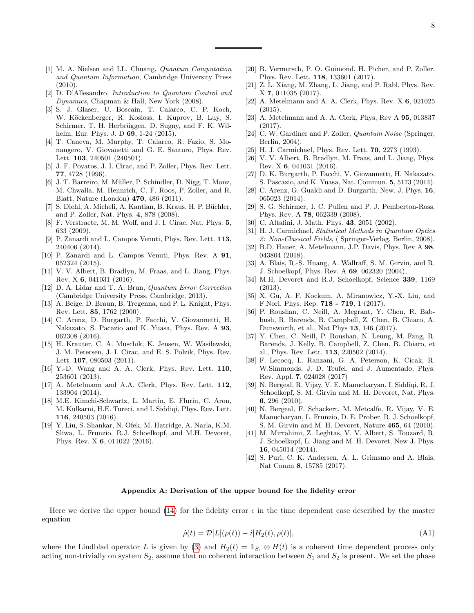- <span id="page-7-0"></span>[1] M. A. Nielsen and I.L. Chuang, Quantum Computation and Quantum Information, Cambridge University Press (2010).
- <span id="page-7-1"></span>[2] D. D'Allesandro, Introduction to Quantum Control and Dynamics, Chapman & Hall, New York (2008).
- <span id="page-7-2"></span>[3] S. J. Glaser, U. Boscain, T. Calarco, C. P. Koch, W. Köckenberger, R. Kosloss, I. Kuprov, B. Luy, S. Schirmer. T. H. Herbrüggen, D. Sugny, and F. K. Wilhelm, Eur. Phys. J. D 69, 1-24 (2015).
- <span id="page-7-3"></span>[4] T. Caneva, M. Murphy, T. Calarco, R. Fazio, S. Monangero, V. Giovanetti and G. E. Santoro, Phys. Rev. Lett. 103, 240501 (240501).
- <span id="page-7-4"></span>[5] J. F. Poyatos, J. I. Cirac, and P. Zoller, Phys. Rev. Lett. 77, 4728 (1996).
- <span id="page-7-5"></span>[6] J. T. Barreiro, M. Müller, P. Schindler, D. Nigg, T. Monz, M. Chwalla, M. Hennrich, C. F. Roos, P. Zoller, and R. Blatt, Nature (London) 470, 486 (2011).
- <span id="page-7-6"></span>[7] S. Diehl, A. Micheli, A. Kantian, B. Kraus, H. P. Büchler, and P. Zoller, Nat. Phys. 4, 878 (2008).
- <span id="page-7-7"></span>[8] F. Verstraete, M. M. Wolf, and J. I. Cirac, Nat. Phys. 5, 633 (2009).
- <span id="page-7-8"></span>[9] P. Zanardi and L. Campos Venuti, Phys. Rev. Lett. 113, 240406 (2014).
- [10] P. Zanardi and L. Campos Venuti, Phys. Rev. A 91, 052324 (2015).
- <span id="page-7-9"></span>[11] V. V. Albert, B. Bradlyn, M. Fraas, and L. Jiang, Phys. Rev. X 6, 041031 (2016).
- <span id="page-7-10"></span>[12] D. A. Lidar and T. A. Brun, Quantum Error Correction (Cambridge University Press, Cambridge, 2013).
- <span id="page-7-11"></span>[13] A. Beige, D. Braun, B. Tregenna, and P. L. Knight, Phys. Rev. Lett. 85, 1762 (2000).
- <span id="page-7-12"></span>[14] C. Arenz, D. Burgarth, P. Facchi, V. Giovannetti, H. Nakazato, S. Pacazio and K. Yuasa, Phys. Rev. A 93, 062308 (2016).
- <span id="page-7-13"></span>[15] H. Krauter, C. A. Muschik, K. Jensen, W. Wasilewski, J. M. Petersen, J. I. Cirac, and E. S. Polzik, Phys. Rev. Lett. **107**, 080503 (2011).
- [16] Y.-D. Wang and A. A. Clerk, Phys. Rev. Lett. 110, 253601 (2013).
- [17] A. Metelmann and A.A. Clerk, Phys. Rev. Lett. 112, 133904 (2014).
- [18] M.E. Kimchi-Schwartz, L. Martin, E. Flurin, C. Aron, M. Kulkarni, H.E. Tureci, and I. Siddiqi, Phys. Rev. Lett. 116, 240503 (2016).
- <span id="page-7-14"></span>[19] Y. Liu, S. Shankar, N. Ofek, M. Hatridge, A. Narla, K.M. Sliwa, L. Frunzio, R.J. Schoelkopf, and M.H. Devoret, Phys. Rev. X 6, 011022 (2016).
- <span id="page-7-15"></span>[20] B. Vermersch, P. O. Guimond, H. Picher, and P. Zoller, Phys. Rev. Lett. 118, 133601 (2017).
- [21] Z. L. Xiang, M. Zhang, L. Jiang, and P. Rabl, Phys. Rev. X 7, 011035 (2017).
- <span id="page-7-17"></span>[22] A. Metelmann and A. A. Clerk, Phys. Rev. X 6, 021025 (2015).
- <span id="page-7-16"></span>[23] A. Metelmann and A. A. Clerk, Phys, Rev A 95, 013837 (2017).
- <span id="page-7-18"></span>[24] C. W. Gardiner and P. Zoller, *Quantum Noise* (Springer, Berlin, 2004).
- <span id="page-7-19"></span>[25] H. J. Carmichael, Phys. Rev. Lett. **70**, 2273 (1993).
- <span id="page-7-20"></span>[26] V. V. Albert, B. Bradlyn, M. Fraas, and L. Jiang, Phys. Rev. X 6, 041031 (2016).
- <span id="page-7-21"></span>[27] D. K. Burgarth, P. Facchi, V. Giovannetti, H. Nakazato, S. Pascazio, and K. Yuasa, Nat. Commun. 5, 5173 (2014).
- <span id="page-7-22"></span>[28] C. Arenz, G. Gualdi and D. Burgarth, New. J. Phys. 16, 065023 (2014).
- <span id="page-7-23"></span>[29] S. G. Schirmer, I. C. Pullen and P. J. Pemberton-Ross, Phys. Rev. A 78, 062339 (2008).
- <span id="page-7-24"></span>[30] C. Altafini, J. Math. Phys. **43**, 2051 (2002).
- <span id="page-7-26"></span>[31] H. J. Carmichael, Statistical Methods in Quantum Optics 2: Non-Classical Fields, ( Springer-Verlag, Berlin, 2008).
- <span id="page-7-27"></span>[32] B.D. Hauer, A. Metelmann, J.P. Davis, Phys, Rev A 98, 043804 (2018).
- <span id="page-7-28"></span>[33] A. Blais, R.-S. Huang, A. Wallraff, S. M. Girvin, and R. J. Schoelkopf, Phys. Rev. A 69, 062320 (2004),
- [34] M.H. Devoret and R.J. Schoelkopf, Science 339, 1169 (2013).
- <span id="page-7-29"></span>[35] X. Gu, A. F. Kockum, A. Miranowicz, Y.-X. Liu, and F.Nori, Phys. Rep. 718 - 719, 1 (2017).
- <span id="page-7-30"></span>[36] P. Roushan, C. Neill, A. Megrant, Y. Chen, R. Babbush, R. Barends, B. Campbell, Z. Chen, B. Chiaro, A. Dunsworth, et al., Nat Phys 13, 146 (2017).
- [37] Y. Chen, C. Neill, P. Roushan, N. Leung, M. Fang, R. Barends, J. Kelly, B. Campbell, Z. Chen, B. Chiaro, et al., Phys. Rev. Lett. 113, 220502 (2014).
- [38] F. Lecocq, L. Ranzani, G. A. Peterson, K. Cicak, R. W.Simmonds, J. D. Teufel, and J. Aumentado, Phys. Rev. Appl. 7, 024028 (2017)
- <span id="page-7-31"></span>[39] N. Bergeal, R. Vijay, V. E. Manucharyan, I. Siddiqi, R. J. Schoelkopf, S. M. Girvin and M. H. Devoret, Nat. Phys. 6, 296 (2010).
- <span id="page-7-32"></span>[40] N. Bergeal, F. Schackert, M. Metcalfe, R. Vijay, V. E. Manucharyan, L. Frunzio, D. E. Prober, R. J. Schoelkopf, S. M. Girvin and M. H. Devoret, Nature 465, 64 (2010).
- <span id="page-7-33"></span>[41] M. Mirrahimi, Z. Leghtas, V. V. Albert, S. Touzard, R. J. Schoelkopf, L. Jiang and M. H. Devoret, New J. Phys. 16, 045014 (2014).
- <span id="page-7-34"></span>[42] S. Puri, C. K. Andersen, A. L. Grimsmo and A. Blais, Nat Comm 8, 15785 (2017).

# <span id="page-7-25"></span>Appendix A: Derivation of the upper bound for the fidelity error

Here we derive the upper bound [\(14\)](#page-3-0) for the fidelity error  $\epsilon$  in the time dependent case described by the master equation

$$
\dot{\rho}(t) = \mathcal{D}[L](\rho(t)) - i[H_2(t), \rho(t)],\tag{A1}
$$

where the Lindblad operator L is given by [\(3\)](#page-1-1) and  $H_2(t) = \mathbb{1}_{S_1} \otimes H(t)$  is a coherent time dependent process only acting non-trivially on system  $S_2$ , assume that no coherent interaction between  $S_1$  and  $S_2$  is present. We set the phase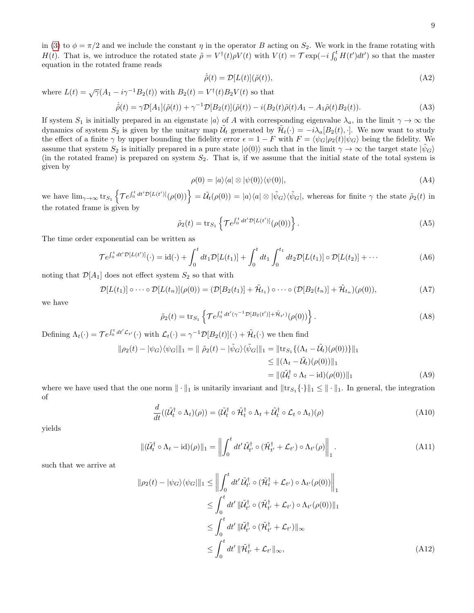in [\(3\)](#page-1-1) to  $\phi = \pi/2$  and we include the constant  $\eta$  in the operator B acting on  $S_2$ . We work in the frame rotating with  $H(t)$ . That is, we introduce the rotated state  $\tilde{\rho} = V^{\dagger}(t)\rho V(t)$  with  $V(t) = \mathcal{T} \exp(-i\int_0^t H(t')dt')$  so that the master equation in the rotated frame reads

$$
\dot{\tilde{\rho}}(t) = \mathcal{D}[L(t)](\tilde{\rho}(t)),\tag{A2}
$$

where  $L(t) = \sqrt{\gamma} (A_1 - i \gamma^{-1} B_2(t))$  with  $B_2(t) = V^{\dagger}(t) B_2 V(t)$  so that

$$
\dot{\tilde{\rho}}(t) = \gamma \mathcal{D}[A_1](\tilde{\rho}(t)) + \gamma^{-1} \mathcal{D}[B_2(t)](\tilde{\rho}(t)) - i(B_2(t)\tilde{\rho}(t)A_1 - A_1\tilde{\rho}(t)B_2(t)).
$$
\n(A3)

If system  $S_1$  is initially prepared in an eigenstate  $|a\rangle$  of A with corresponding eigenvalue  $\lambda_a$ , in the limit  $\gamma \to \infty$  the dynamics of system  $S_2$  is given by the unitary map  $\tilde{\mathcal{U}}_t$  generated by  $\tilde{\mathcal{H}}_t(\cdot) = -i\lambda_a[B_2(t), \cdot]$ . We now want to study the effect of a finite  $\gamma$  by upper bounding the fidelity error  $\epsilon = 1 - F$  with  $F = \langle \psi_G | \rho_2(t) | \psi_G \rangle$  being the fidelity. We assume that system  $S_2$  is initially prepared in a pure state  $|\phi(0)\rangle$  such that in the limit  $\gamma \to \infty$  the target state  $|\psi_G\rangle$ (in the rotated frame) is prepared on system  $S_2$ . That is, if we assume that the initial state of the total system is given by

$$
\rho(0) = |a\rangle\langle a| \otimes |\psi(0)\rangle\langle\psi(0)|,\tag{A4}
$$

we have  $\lim_{\gamma\to\infty} \text{tr}_{S_1} \left\{ \mathcal{T} e^{\int_0^t dt' \mathcal{D}[L(t')]}\rho(0) \right\} = \tilde{\mathcal{U}}_t(\rho(0)) = |a\rangle\langle a| \otimes |\tilde{\psi}_G\rangle\langle \tilde{\psi}_G|$ , whereas for finite  $\gamma$  the state  $\tilde{\rho}_2(t)$  in the rotated frame is given by

$$
\tilde{\rho}_2(t) = \text{tr}_{S_1} \left\{ \mathcal{T} e^{\int_0^t dt' \mathcal{D}[L(t')]}\left(\rho(0)\right) \right\} . \tag{A5}
$$

The time order exponential can be written as

$$
\mathcal{T}e^{\int_0^t dt' \mathcal{D}[L(t')]}\left(\cdot\right) = id(\cdot) + \int_0^t dt_1 \mathcal{D}[L(t_1)] + \int_0^t dt_1 \int_0^{t_1} dt_2 \mathcal{D}[L(t_1)] \circ \mathcal{D}[L(t_2)] + \cdots
$$
 (A6)

noting that  $\mathcal{D}[A_1]$  does not effect system  $S_2$  so that with

$$
\mathcal{D}[L(t_1)] \circ \cdots \circ \mathcal{D}[L(t_n)](\rho(0)) = (\mathcal{D}[B_2(t_1)] + \tilde{\mathcal{H}}_{t_1}) \circ \cdots \circ (\mathcal{D}[B_2(t_n)] + \tilde{\mathcal{H}}_{t_n})(\rho(0)),
$$
\n(A7)

we have

$$
\tilde{\rho}_2(t) = \text{tr}_{S_1} \left\{ \mathcal{T} e^{\int_0^t dt' (\gamma^{-1} \mathcal{D}[B_2(t')] + \tilde{\mathcal{H}}_{t'})} (\rho(0)) \right\}.
$$
 (A8)

Defining  $\Lambda_t(\cdot) = \mathcal{T} e^{\int_0^t dt' \mathcal{L}_{t'}}(\cdot)$  with  $\mathcal{L}_t(\cdot) = \gamma^{-1} \mathcal{D}[B_2(t)](\cdot) + \tilde{\mathcal{H}}_t(\cdot)$  we then find

$$
\|\rho_2(t) - |\psi_G\rangle\langle\psi_G|\|_1 = \|\tilde{\rho}_2(t) - |\tilde{\psi}_G\rangle\langle\tilde{\psi}_G|\|_1 = \|\text{tr}_{S_1}\{(\Lambda_t - \tilde{\mathcal{U}}_t)(\rho(0))\}\|_1
$$
  
\n
$$
\leq \|(\Lambda_t - \tilde{\mathcal{U}}_t)(\rho(0))\|_1
$$
  
\n
$$
= \|(\tilde{\mathcal{U}}_t^{\dagger} \circ \Lambda_t - \text{id})(\rho(0))\|_1
$$
 (A9)

where we have used that the one norm  $\|\cdot\|_1$  is unitarily invariant and  $\|\text{tr}_{S_1}\{\cdot\}\|_1 \leq \|\cdot\|_1$ . In general, the integration of

$$
\frac{d}{dt}((\tilde{\mathcal{U}}_t^{\dagger} \circ \Lambda_t)(\rho)) = (\tilde{\mathcal{U}}_t^{\dagger} \circ \tilde{\mathcal{H}}_t^{\dagger} \circ \Lambda_t + \tilde{\mathcal{U}}_t^{\dagger} \circ \mathcal{L}_t \circ \Lambda_t)(\rho) \tag{A10}
$$

yields

$$
\|(\tilde{U}_t^{\dagger} \circ \Lambda_t - \mathrm{id})(\rho)\|_1 = \left\| \int_0^t dt' \, \tilde{U}_t^{\dagger} \circ (\tilde{\mathcal{H}}_{t'}^{\dagger} + \mathcal{L}_{t'}) \circ \Lambda_{t'}(\rho) \right\|_1.
$$
 (A11)

such that we arrive at

$$
\|\rho_2(t) - |\psi_G\rangle\langle\psi_G\|\|_1 \le \left\| \int_0^t dt' \tilde{\mathcal{U}}_t^{\dagger} \circ (\tilde{\mathcal{H}}_t^{\dagger} + \mathcal{L}_{t'}) \circ \Lambda_{t'}(\rho(0)) \right\|_1
$$
  
\n
$$
\le \int_0^t dt' \|\tilde{\mathcal{U}}_{t'}^{\dagger} \circ (\tilde{\mathcal{H}}_{t'}^{\dagger} + \mathcal{L}_{t'}) \circ \Lambda_{t'}(\rho(0))\|_1
$$
  
\n
$$
\le \int_0^t dt' \|\tilde{\mathcal{U}}_{t'}^{\dagger} \circ (\tilde{\mathcal{H}}_{t'}^{\dagger} + \mathcal{L}_{t'})\|_{\infty}
$$
  
\n
$$
\le \int_0^t dt' \|\tilde{\mathcal{H}}_{t'}^{\dagger} + \mathcal{L}_{t'}\|_{\infty},
$$
 (A12)